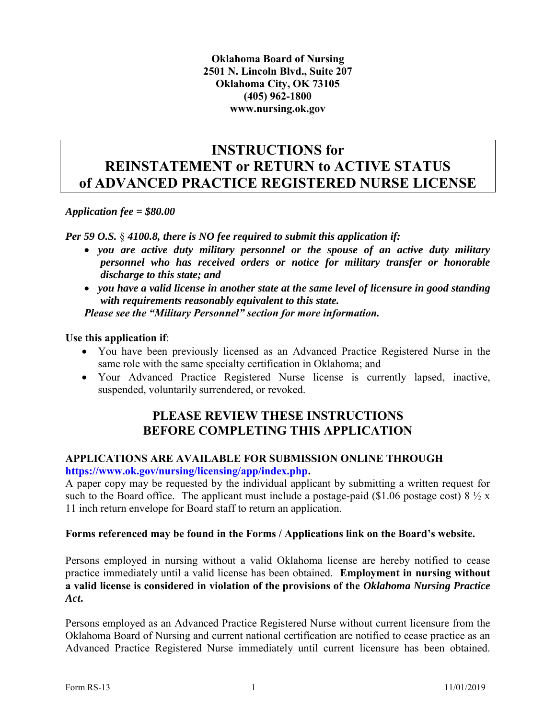**Oklahoma Board of Nursing 2501 N. Lincoln Blvd., Suite 207 Oklahoma City, OK 73105 (405) 962-1800 www.nursing.ok.gov** 

### **INSTRUCTIONS for REINSTATEMENT or RETURN to ACTIVE STATUS of ADVANCED PRACTICE REGISTERED NURSE LICENSE**

*Application fee = \$80.00*

*Per 59 O.S.* § *4100.8, there is NO fee required to submit this application if:*

 *you are active duty military personnel or the spouse of an active duty military personnel who has received orders or notice for military transfer or honorable discharge to this state; and* 

 *you have a valid license in another state at the same level of licensure in good standing with requirements reasonably equivalent to this state. Please see the "Military Personnel" section for more information.* 

**Use this application if**:

- You have been previously licensed as an Advanced Practice Registered Nurse in the same role with the same specialty certification in Oklahoma; and
- Your Advanced Practice Registered Nurse license is currently lapsed, inactive, suspended, voluntarily surrendered, or revoked.

### **PLEASE REVIEW THESE INSTRUCTIONS BEFORE COMPLETING THIS APPLICATION**

#### **APPLICATIONS ARE AVAILABLE FOR SUBMISSION ONLINE THROUGH [https://www.ok.gov/nursing/licensing/app/index.php.](https://www.ok.gov/nursing/licensing/app/index.php)**

A paper copy may be requested by the individual applicant by submitting a written request for such to the Board office. The applicant must include a postage-paid (\$1.06 postage cost)  $8\frac{1}{2}x$ 11 inch return envelope for Board staff to return an application.

#### **Forms referenced may be found in the Forms / Applications link on the Board's website.**

Persons employed in nursing without a valid Oklahoma license are hereby notified to cease practice immediately until a valid license has been obtained. **Employment in nursing without a valid license is considered in violation of the provisions of the** *Oklahoma Nursing Practice Act***.** 

Persons employed as an Advanced Practice Registered Nurse without current licensure from the Oklahoma Board of Nursing and current national certification are notified to cease practice as an Advanced Practice Registered Nurse immediately until current licensure has been obtained.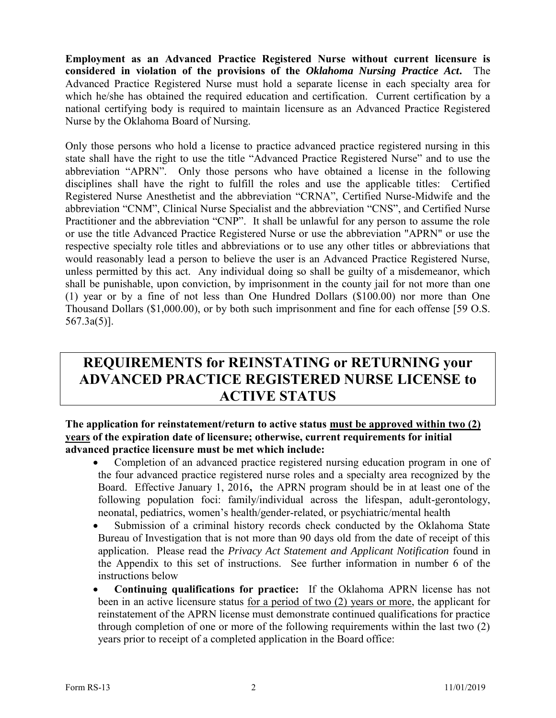**Employment as an Advanced Practice Registered Nurse without current licensure is considered in violation of the provisions of the** *Oklahoma Nursing Practice Act***.** The Advanced Practice Registered Nurse must hold a separate license in each specialty area for which he/she has obtained the required education and certification. Current certification by a national certifying body is required to maintain licensure as an Advanced Practice Registered Nurse by the Oklahoma Board of Nursing.

Only those persons who hold a license to practice advanced practice registered nursing in this state shall have the right to use the title "Advanced Practice Registered Nurse" and to use the abbreviation "APRN". Only those persons who have obtained a license in the following disciplines shall have the right to fulfill the roles and use the applicable titles: Certified Registered Nurse Anesthetist and the abbreviation "CRNA", Certified Nurse-Midwife and the abbreviation "CNM", Clinical Nurse Specialist and the abbreviation "CNS", and Certified Nurse Practitioner and the abbreviation "CNP". It shall be unlawful for any person to assume the role or use the title Advanced Practice Registered Nurse or use the abbreviation "APRN" or use the respective specialty role titles and abbreviations or to use any other titles or abbreviations that would reasonably lead a person to believe the user is an Advanced Practice Registered Nurse, unless permitted by this act. Any individual doing so shall be guilty of a misdemeanor, which shall be punishable, upon conviction, by imprisonment in the county jail for not more than one (1) year or by a fine of not less than One Hundred Dollars (\$100.00) nor more than One Thousand Dollars (\$1,000.00), or by both such imprisonment and fine for each offense [59 O.S. 567.3a(5)].

## **REQUIREMENTS for REINSTATING or RETURNING your ADVANCED PRACTICE REGISTERED NURSE LICENSE to ACTIVE STATUS**

#### **The application for reinstatement/return to active status must be approved within two (2) years of the expiration date of licensure; otherwise, current requirements for initial advanced practice licensure must be met which include:**

- Completion of an advanced practice registered nursing education program in one of the four advanced practice registered nurse roles and a specialty area recognized by the Board. Effective January 1, 2016**,** the APRN program should be in at least one of the following population foci: family/individual across the lifespan, adult-gerontology, neonatal, pediatrics, women's health/gender-related, or psychiatric/mental health
- Submission of a criminal history records check conducted by the Oklahoma State Bureau of Investigation that is not more than 90 days old from the date of receipt of this application. Please read the *Privacy Act Statement and Applicant Notification* found in the Appendix to this set of instructions. See further information in number 6 of the instructions below
- **Continuing qualifications for practice:** If the Oklahoma APRN license has not been in an active licensure status for a period of two (2) years or more, the applicant for reinstatement of the APRN license must demonstrate continued qualifications for practice through completion of one or more of the following requirements within the last two (2) years prior to receipt of a completed application in the Board office: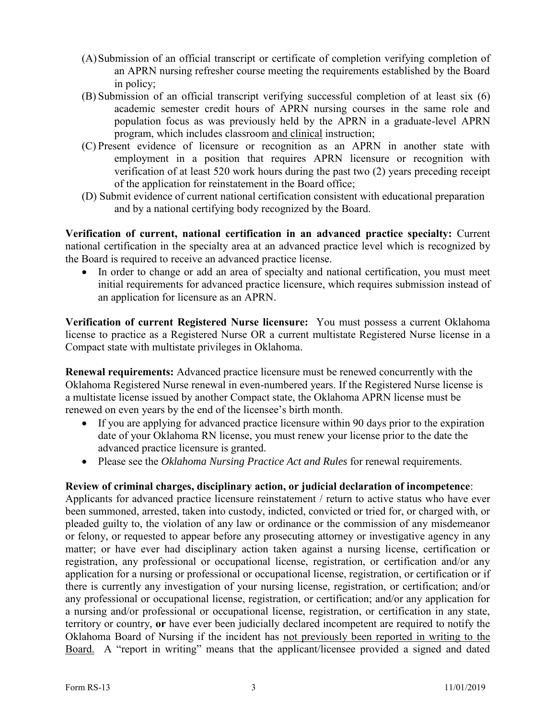- (A)Submission of an official transcript or certificate of completion verifying completion of an APRN nursing refresher course meeting the requirements established by the Board in policy;
- (B) Submission of an official transcript verifying successful completion of at least six (6) academic semester credit hours of APRN nursing courses in the same role and population focus as was previously held by the APRN in a graduate-level APRN program, which includes classroom and clinical instruction;
- (C) Present evidence of licensure or recognition as an APRN in another state with employment in a position that requires APRN licensure or recognition with verification of at least 520 work hours during the past two (2) years preceding receipt of the application for reinstatement in the Board office;
- (D) Submit evidence of current national certification consistent with educational preparation and by a national certifying body recognized by the Board.

**Verification of current, national certification in an advanced practice specialty:** Current national certification in the specialty area at an advanced practice level which is recognized by the Board is required to receive an advanced practice license.

 In order to change or add an area of specialty and national certification, you must meet initial requirements for advanced practice licensure, which requires submission instead of an application for licensure as an APRN.

**Verification of current Registered Nurse licensure:** You must possess a current Oklahoma license to practice as a Registered Nurse OR a current multistate Registered Nurse license in a Compact state with multistate privileges in Oklahoma.

**Renewal requirements:** Advanced practice licensure must be renewed concurrently with the Oklahoma Registered Nurse renewal in even-numbered years. If the Registered Nurse license is a multistate license issued by another Compact state, the Oklahoma APRN license must be renewed on even years by the end of the licensee's birth month.

- If you are applying for advanced practice licensure within 90 days prior to the expiration date of your Oklahoma RN license, you must renew your license prior to the date the advanced practice licensure is granted.
- Please see the *Oklahoma Nursing Practice Act and Rules* for renewal requirements.

#### **Review of criminal charges, disciplinary action, or judicial declaration of incompetence**:

Applicants for advanced practice licensure reinstatement / return to active status who have ever been summoned, arrested, taken into custody, indicted, convicted or tried for, or charged with, or pleaded guilty to, the violation of any law or ordinance or the commission of any misdemeanor or felony, or requested to appear before any prosecuting attorney or investigative agency in any matter; or have ever had disciplinary action taken against a nursing license, certification or registration, any professional or occupational license, registration, or certification and/or any application for a nursing or professional or occupational license, registration, or certification or if there is currently any investigation of your nursing license, registration, or certification; and/or any professional or occupational license, registration, or certification; and/or any application for a nursing and/or professional or occupational license, registration, or certification in any state, territory or country, **or** have ever been judicially declared incompetent are required to notify the Oklahoma Board of Nursing if the incident has not previously been reported in writing to the Board. A "report in writing" means that the applicant/licensee provided a signed and dated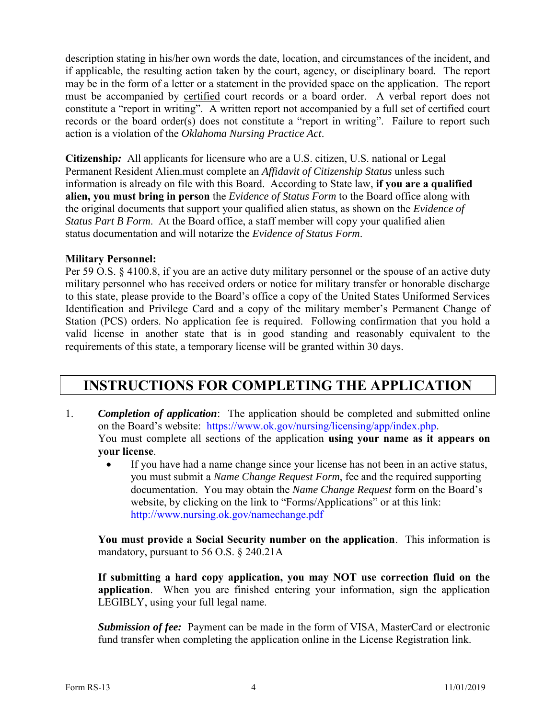description stating in his/her own words the date, location, and circumstances of the incident, and if applicable, the resulting action taken by the court, agency, or disciplinary board. The report may be in the form of a letter or a statement in the provided space on the application. The report must be accompanied by certified court records or a board order. A verbal report does not constitute a "report in writing". A written report not accompanied by a full set of certified court records or the board order(s) does not constitute a "report in writing". Failure to report such action is a violation of the *Oklahoma Nursing Practice Act*.

**Citizenship***:* All applicants for licensure who are a U.S. citizen, U.S. national or Legal Permanent Resident Alien.must complete an *Affidavit of Citizenship Status* unless such information is already on file with this Board. According to State law, **if you are a qualified alien, you must bring in person** the *Evidence of Status Form* to the Board office along with the original documents that support your qualified alien status, as shown on the *Evidence of Status Part B Form.* At the Board office, a staff member will copy your qualified alien status documentation and will notarize the *Evidence of Status Form*.

#### **Military Personnel:**

Per 59 O.S. § 4100.8, if you are an active duty military personnel or the spouse of an active duty military personnel who has received orders or notice for military transfer or honorable discharge to this state, please provide to the Board's office a copy of the United States Uniformed Services Identification and Privilege Card and a copy of the military member's Permanent Change of Station (PCS) orders. No application fee is required. Following confirmation that you hold a valid license in another state that is in good standing and reasonably equivalent to the requirements of this state, a temporary license will be granted within 30 days.

### **INSTRUCTIONS FOR COMPLETING THE APPLICATION**

- 1. *Completion of application*: The application should be completed and submitted online on the Board's website: [https://www.ok.gov/nursing/licensing/app/index.php.](https://www.ok.gov/nursing/licensing/app/index.php) You must complete all sections of the application **using your name as it appears on your license**.
	- If you have had a name change since your license has not been in an active status, you must submit a *Name Change Request Form*, fee and the required supporting documentation. You may obtain the *Name Change Request* form on the Board's website, by clicking on the link to "Forms/Applications" or at this link: [http://www.nursing.ok.gov/namechange.pdf](http://www.ok.gov/nursing/namechange.pdf)

**You must provide a Social Security number on the application**. This information is mandatory, pursuant to 56 O.S. § 240.21A

**If submitting a hard copy application, you may NOT use correction fluid on the application**. When you are finished entering your information, sign the application LEGIBLY, using your full legal name.

*Submission of fee:* Payment can be made in the form of VISA, MasterCard or electronic fund transfer when completing the application online in the License Registration link.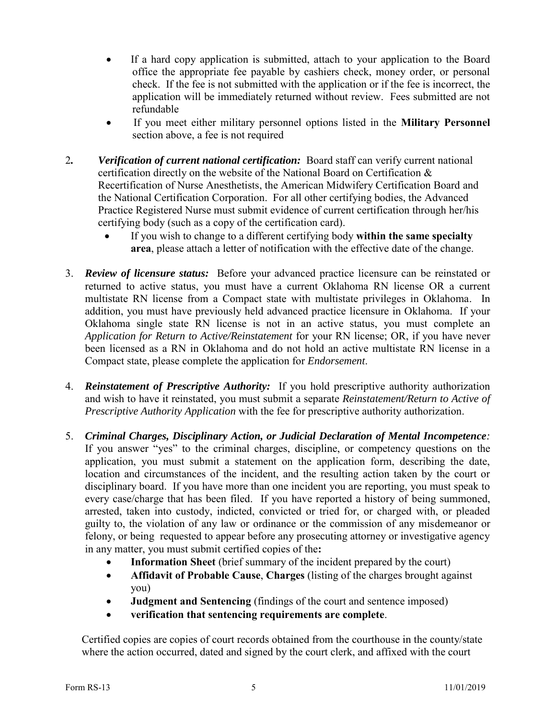- If a hard copy application is submitted, attach to your application to the Board office the appropriate fee payable by cashiers check, money order, or personal check. If the fee is not submitted with the application or if the fee is incorrect, the application will be immediately returned without review. Fees submitted are not refundable
- If you meet either military personnel options listed in the **Military Personnel** section above, a fee is not required
- 2*. Verification of current national certification:* Board staff can verify current national certification directly on the website of the National Board on Certification & Recertification of Nurse Anesthetists, the American Midwifery Certification Board and the National Certification Corporation. For all other certifying bodies, the Advanced Practice Registered Nurse must submit evidence of current certification through her/his certifying body (such as a copy of the certification card).
	- If you wish to change to a different certifying body **within the same specialty area**, please attach a letter of notification with the effective date of the change.
- 3. *Review of licensure status:* Before your advanced practice licensure can be reinstated or returned to active status, you must have a current Oklahoma RN license OR a current multistate RN license from a Compact state with multistate privileges in Oklahoma. In addition, you must have previously held advanced practice licensure in Oklahoma. If your Oklahoma single state RN license is not in an active status, you must complete an *Application for Return to Active/Reinstatement* for your RN license; OR, if you have never been licensed as a RN in Oklahoma and do not hold an active multistate RN license in a Compact state, please complete the application for *Endorsement*.
- 4. *Reinstatement of Prescriptive Authority:* If you hold prescriptive authority authorization and wish to have it reinstated, you must submit a separate *Reinstatement/Return to Active of Prescriptive Authority Application* with the fee for prescriptive authority authorization.
- 5. *Criminal Charges, Disciplinary Action, or Judicial Declaration of Mental Incompetence:*  If you answer "yes" to the criminal charges, discipline, or competency questions on the application, you must submit a statement on the application form, describing the date, location and circumstances of the incident, and the resulting action taken by the court or disciplinary board. If you have more than one incident you are reporting, you must speak to every case/charge that has been filed. If you have reported a history of being summoned, arrested, taken into custody, indicted, convicted or tried for, or charged with, or pleaded guilty to, the violation of any law or ordinance or the commission of any misdemeanor or felony, or being requested to appear before any prosecuting attorney or investigative agency in any matter, you must submit certified copies of the**:**
	- **Information Sheet** (brief summary of the incident prepared by the court)
	- **Affidavit of Probable Cause**, **Charges** (listing of the charges brought against you)
	- **Judgment and Sentencing** (findings of the court and sentence imposed)
	- **verification that sentencing requirements are complete**.

Certified copies are copies of court records obtained from the courthouse in the county/state where the action occurred, dated and signed by the court clerk, and affixed with the court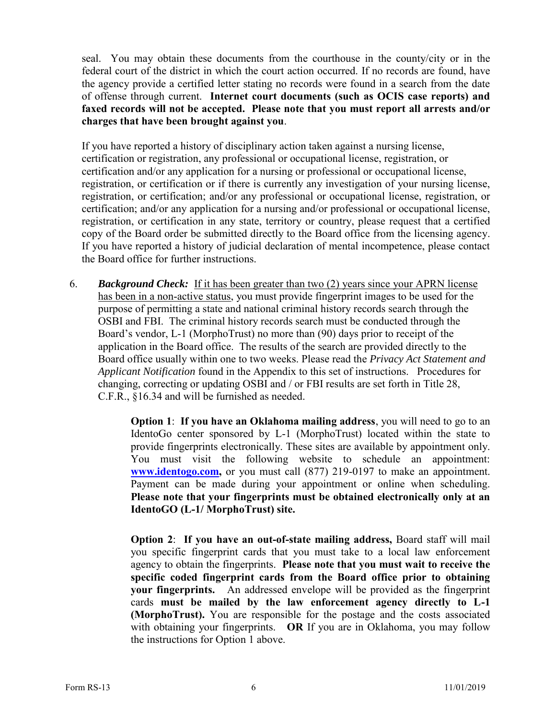seal. You may obtain these documents from the courthouse in the county/city or in the federal court of the district in which the court action occurred. If no records are found, have the agency provide a certified letter stating no records were found in a search from the date of offense through current. **Internet court documents (such as OCIS case reports) and faxed records will not be accepted. Please note that you must report all arrests and/or charges that have been brought against you**.

If you have reported a history of disciplinary action taken against a nursing license, certification or registration, any professional or occupational license, registration, or certification and/or any application for a nursing or professional or occupational license, registration, or certification or if there is currently any investigation of your nursing license, registration, or certification; and/or any professional or occupational license, registration, or certification; and/or any application for a nursing and/or professional or occupational license, registration, or certification in any state, territory or country, please request that a certified copy of the Board order be submitted directly to the Board office from the licensing agency. If you have reported a history of judicial declaration of mental incompetence, please contact the Board office for further instructions.

6. *Background Check:* If it has been greater than two (2) years since your APRN license has been in a non-active status, you must provide fingerprint images to be used for the purpose of permitting a state and national criminal history records search through the OSBI and FBI. The criminal history records search must be conducted through the Board's vendor, L-1 (MorphoTrust) no more than (90) days prior to receipt of the application in the Board office. The results of the search are provided directly to the Board office usually within one to two weeks. Please read the *Privacy Act Statement and Applicant Notification* found in the Appendix to this set of instructions. Procedures for changing, correcting or updating OSBI and / or FBI results are set forth in Title 28, C.F.R., §16.34 and will be furnished as needed.

> **Option 1**: **If you have an Oklahoma mailing address**, you will need to go to an IdentoGo center sponsored by L-1 (MorphoTrust) located within the state to provide fingerprints electronically. These sites are available by appointment only. You must visit the following website to schedule an appointment: **[www.identogo.com,](http://www.identogo.com/)** or you must call (877) 219-0197 to make an appointment. Payment can be made during your appointment or online when scheduling. **Please note that your fingerprints must be obtained electronically only at an IdentoGO (L-1/ MorphoTrust) site.**

> **Option 2**: **If you have an out-of-state mailing address,** Board staff will mail you specific fingerprint cards that you must take to a local law enforcement agency to obtain the fingerprints. **Please note that you must wait to receive the specific coded fingerprint cards from the Board office prior to obtaining your fingerprints.** An addressed envelope will be provided as the fingerprint cards **must be mailed by the law enforcement agency directly to L-1 (MorphoTrust).** You are responsible for the postage and the costs associated with obtaining your fingerprints. **OR** If you are in Oklahoma, you may follow the instructions for Option 1 above.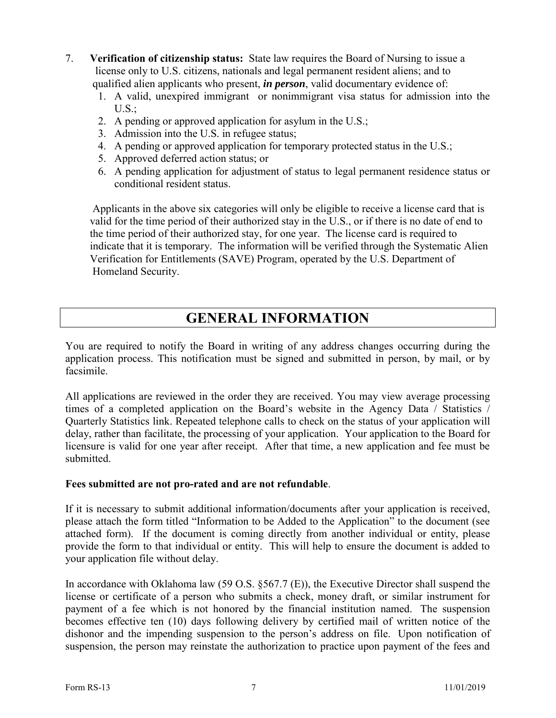- 7. **Verification of citizenship status:** State law requires the Board of Nursing to issue a license only to U.S. citizens, nationals and legal permanent resident aliens; and to qualified alien applicants who present, *in person*, valid documentary evidence of:
	- 1. A valid, unexpired immigrant or nonimmigrant visa status for admission into the  $U.S.:$
	- 2. A pending or approved application for asylum in the U.S.;
	- 3. Admission into the U.S. in refugee status;
	- 4. A pending or approved application for temporary protected status in the U.S.;
	- 5. Approved deferred action status; or
	- 6. A pending application for adjustment of status to legal permanent residence status or conditional resident status.

 Applicants in the above six categories will only be eligible to receive a license card that is valid for the time period of their authorized stay in the U.S., or if there is no date of end to the time period of their authorized stay, for one year. The license card is required to indicate that it is temporary. The information will be verified through the Systematic Alien Verification for Entitlements (SAVE) Program, operated by the U.S. Department of Homeland Security.

## **GENERAL INFORMATION**

You are required to notify the Board in writing of any address changes occurring during the application process. This notification must be signed and submitted in person, by mail, or by facsimile.

All applications are reviewed in the order they are received. You may view average processing times of a completed application on the Board's website in the Agency Data / Statistics / Quarterly Statistics link. Repeated telephone calls to check on the status of your application will delay, rather than facilitate, the processing of your application. Your application to the Board for licensure is valid for one year after receipt. After that time, a new application and fee must be submitted.

#### **Fees submitted are not pro-rated and are not refundable**.

If it is necessary to submit additional information/documents after your application is received, please attach the form titled "Information to be Added to the Application" to the document (see attached form). If the document is coming directly from another individual or entity, please provide the form to that individual or entity. This will help to ensure the document is added to your application file without delay.

In accordance with Oklahoma law (59 O.S. §567.7 (E)), the Executive Director shall suspend the license or certificate of a person who submits a check, money draft, or similar instrument for payment of a fee which is not honored by the financial institution named. The suspension becomes effective ten (10) days following delivery by certified mail of written notice of the dishonor and the impending suspension to the person's address on file. Upon notification of suspension, the person may reinstate the authorization to practice upon payment of the fees and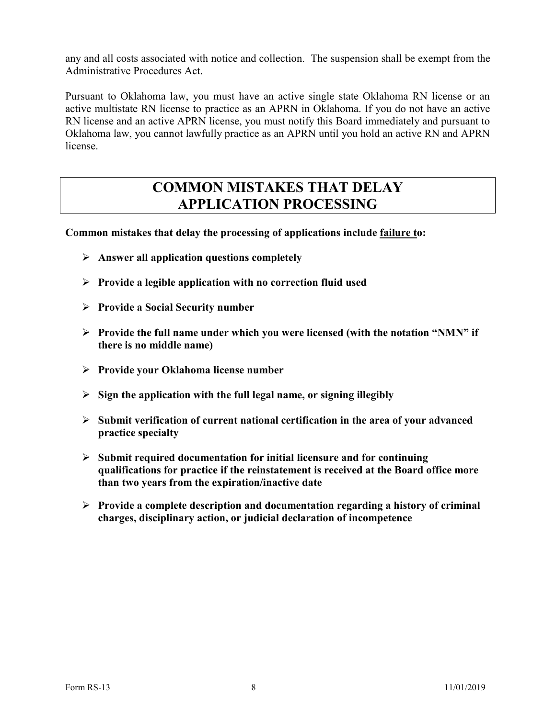any and all costs associated with notice and collection. The suspension shall be exempt from the Administrative Procedures Act.

Pursuant to Oklahoma law, you must have an active single state Oklahoma RN license or an active multistate RN license to practice as an APRN in Oklahoma. If you do not have an active RN license and an active APRN license, you must notify this Board immediately and pursuant to Oklahoma law, you cannot lawfully practice as an APRN until you hold an active RN and APRN license.

### **COMMON MISTAKES THAT DELAY APPLICATION PROCESSING**

**Common mistakes that delay the processing of applications include failure to:**

- **Answer all application questions completely**
- **Provide a legible application with no correction fluid used**
- **Provide a Social Security number**
- **Provide the full name under which you were licensed (with the notation "NMN" if there is no middle name)**
- **Provide your Oklahoma license number**
- **Sign the application with the full legal name, or signing illegibly**
- **Submit verification of current national certification in the area of your advanced practice specialty**
- **Submit required documentation for initial licensure and for continuing qualifications for practice if the reinstatement is received at the Board office more than two years from the expiration/inactive date**
- **Provide a complete description and documentation regarding a history of criminal charges, disciplinary action, or judicial declaration of incompetence**